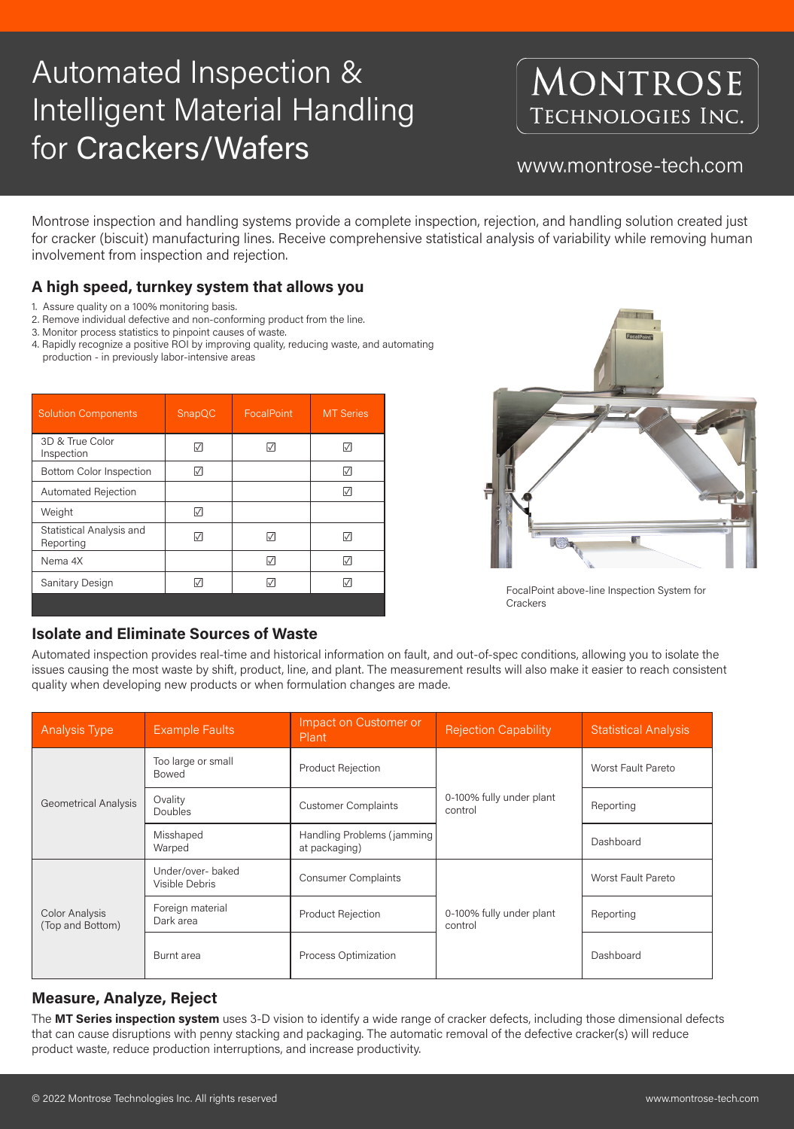# Automated Inspection & Intelligent Material Handling for Crackers/Wafers www.montrose-tech.com

## MONTROSE TECHNOLOGIES INC.

Montrose inspection and handling systems provide a complete inspection, rejection, and handling solution created just for cracker (biscuit) manufacturing lines. Receive comprehensive statistical analysis of variability while removing human involvement from inspection and rejection.

- 1. Assure quality on a 100% monitoring basis.
- 2. Remove individual defective and non-conforming product from the line.
- 3. Monitor process statistics to pinpoint causes of waste.
- 4. Rapidly recognize a positive ROI by improving quality, reducing waste, and automating production - in previously labor-intensive areas

| <b>Solution Components</b>            | SnapQC | FocalPoint | <b>MT Series</b> |
|---------------------------------------|--------|------------|------------------|
| 3D & True Color<br>Inspection         |        | M          | M                |
| <b>Bottom Color Inspection</b>        |        |            | M                |
| <b>Automated Rejection</b>            |        |            |                  |
| Weight                                |        |            |                  |
| Statistical Analysis and<br>Reporting |        | M          |                  |
| Nema 4X                               |        | M          |                  |
| Sanitary Design                       |        |            |                  |
|                                       |        |            |                  |

### **Isolate and Eliminate Sources of Waste**



FocalPoint above-line Inspection System for **Crackers** 

Automated inspection provides real-time and historical information on fault, and out-of-spec conditions, allowing you to isolate the issues causing the most waste by shift, product, line, and plant. The measurement results will also make it easier to reach consistent quality when developing new products or when formulation changes are made.

| <b>Analysis Type</b>                      | <b>Example Faults</b>               | Impact on Customer or<br>Plant              | <b>Rejection Capability</b>         | <b>Statistical Analysis</b> |
|-------------------------------------------|-------------------------------------|---------------------------------------------|-------------------------------------|-----------------------------|
| <b>Geometrical Analysis</b>               | Too large or small<br>Bowed         | Product Rejection                           | 0-100% fully under plant<br>control | <b>Worst Fault Pareto</b>   |
|                                           | Ovality<br>Doubles                  | <b>Customer Complaints</b>                  |                                     | Reporting                   |
|                                           | Misshaped<br>Warped                 | Handling Problems (jamming<br>at packaging) |                                     | Dashboard                   |
| <b>Color Analysis</b><br>(Top and Bottom) | Under/over- baked<br>Visible Debris | <b>Consumer Complaints</b>                  | 0-100% fully under plant<br>control | Worst Fault Pareto          |
|                                           | Foreign material<br>Dark area       | <b>Product Rejection</b>                    |                                     | Reporting                   |
|                                           | Burnt area                          | Process Optimization                        |                                     | Dashboard                   |

### **Measure, Analyze, Reject**

The **MT Series inspection system** uses 3-D vision to identify a wide range of cracker defects, including those dimensional defects that can cause disruptions with penny stacking and packaging. The automatic removal of the defective cracker(s) will reduce product waste, reduce production interruptions, and increase productivity.

### **A high speed, turnkey system that allows you**